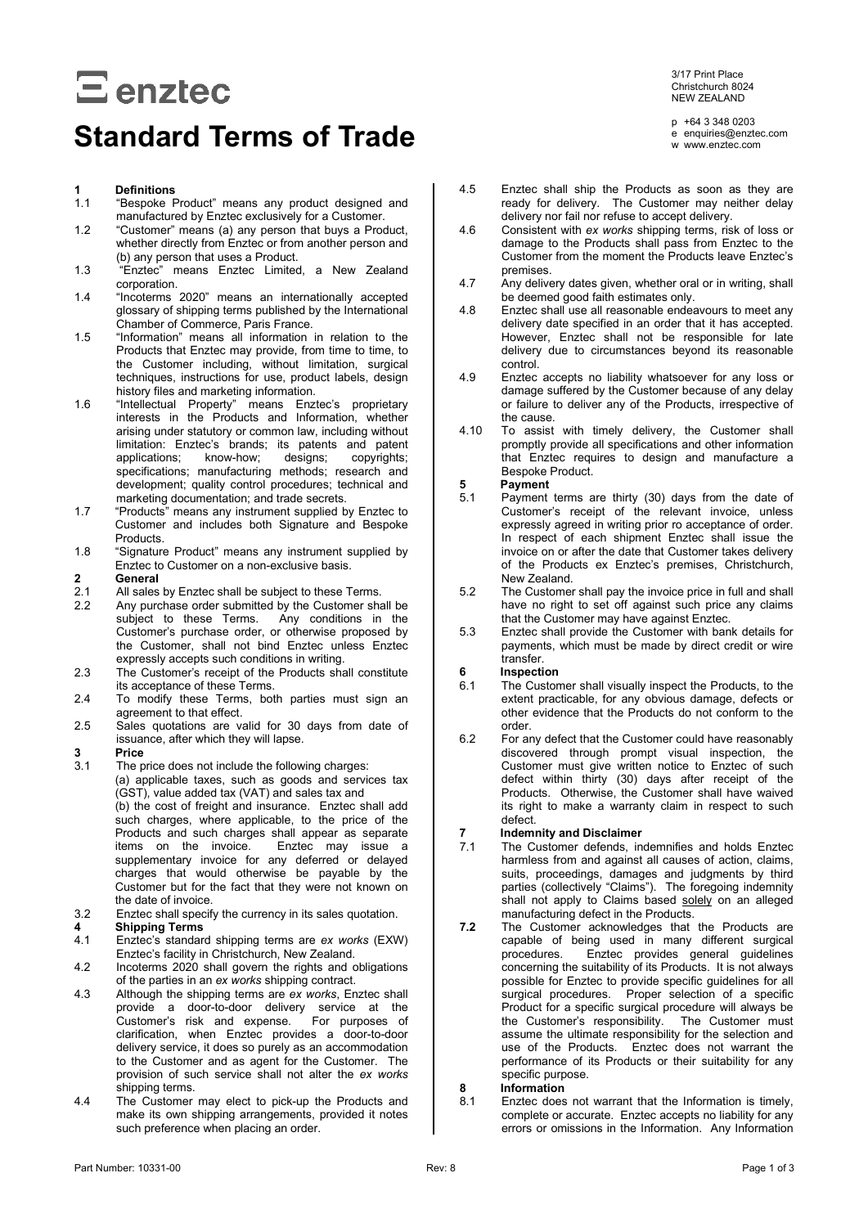# $\Xi$  enztec

# **Standard Terms of Trade**

## **1 Definitions**

- "Bespoke Product" means any product designed and manufactured by Enztec exclusively for a Customer.
- 1.2 "Customer" means (a) any person that buys a Product, whether directly from Enztec or from another person and (b) any person that uses a Product.
- 1.3 "Enztec" means Enztec Limited, a New Zealand corporation.
- 1.4 "Incoterms 2020" means an internationally accepted glossary of shipping terms published by the International Chamber of Commerce, Paris France.
- 1.5 "Information" means all information in relation to the Products that Enztec may provide, from time to time, to the Customer including, without limitation, surgical techniques, instructions for use, product labels, design history files and marketing information.
- 1.6 "Intellectual Property" means Enztec's proprietary interests in the Products and Information, whether arising under statutory or common law, including without limitation: Enztec's brands; its patents and patent applications; know-how; designs; copyrights; applications; know-how; designs; copyrights; specifications; manufacturing methods; research and development; quality control procedures; technical and marketing documentation; and trade secrets.
- 1.7 "Products" means any instrument supplied by Enztec to Customer and includes both Signature and Bespoke Products.
- 1.8 "Signature Product" means any instrument supplied by Enztec to Customer on a non-exclusive basis.

# **2 General**

- 2.1 All sales by Enztec shall be subject to these Terms.<br>2.2 Any purchase order submitted by the Customer shall
- Any purchase order submitted by the Customer shall be subject to these Terms. Any conditions in the Customer's purchase order, or otherwise proposed by the Customer, shall not bind Enztec unless Enztec expressly accepts such conditions in writing.
- 2.3 The Customer's receipt of the Products shall constitute its acceptance of these Terms.
- 2.4 To modify these Terms, both parties must sign an agreement to that effect.
- 2.5 Sales quotations are valid for 30 days from date of issuance, after which they will lapse.

## **3 Price**

- The price does not include the following charges: (a) applicable taxes, such as goods and services tax (GST), value added tax (VAT) and sales tax and (b) the cost of freight and insurance. Enztec shall add such charges, where applicable, to the price of the Products and such charges shall appear as separate<br>items on the invoice. Enztec may issue a Enztec may issue a supplementary invoice for any deferred or delayed charges that would otherwise be payable by the Customer but for the fact that they were not known on the date of invoice.
- 3.2 Enztec shall specify the currency in its sales quotation.

- **4 Shipping Terms** 4.1 Enztec's standard shipping terms are *ex works* (EXW) Enztec's facility in Christchurch, New Zealand.
- 4.2 Incoterms 2020 shall govern the rights and obligations of the parties in an *ex works* shipping contract.
- 4.3 Although the shipping terms are *ex works*, Enztec shall provide a door-to-door delivery service at the Customer's risk and expense. For purposes of clarification, when Enztec provides a door-to-door delivery service, it does so purely as an accommodation to the Customer and as agent for the Customer. The provision of such service shall not alter the *ex works* shipping terms.
- 4.4 The Customer may elect to pick-up the Products and make its own shipping arrangements, provided it notes such preference when placing an order.

3/17 Print Place Christchurch 8024 NEW ZEALAND

p +64 3 348 0203 e enquiries@enztec.com w www.enztec.com

- 4.5 Enztec shall ship the Products as soon as they are ready for delivery. The Customer may neither delay delivery nor fail nor refuse to accept delivery.
- 4.6 Consistent with *ex works* shipping terms, risk of loss or damage to the Products shall pass from Enztec to the Customer from the moment the Products leave Enztec's premises.
- 4.7 Any delivery dates given, whether oral or in writing, shall be deemed good faith estimates only.
- 4.8 Enztec shall use all reasonable endeavours to meet any delivery date specified in an order that it has accepted. However, Enztec shall not be responsible for late delivery due to circumstances beyond its reasonable control.
- 4.9 Enztec accepts no liability whatsoever for any loss or damage suffered by the Customer because of any delay or failure to deliver any of the Products, irrespective of the cause.
- <span id="page-0-0"></span>4.10 To assist with timely delivery, the Customer shall promptly provide all specifications and other information that Enztec requires to design and manufacture a Bespoke Product.

# **5 Payment**

- Payment terms are thirty (30) days from the date of Customer's receipt of the relevant invoice, unless expressly agreed in writing prior ro acceptance of order. In respect of each shipment Enztec shall issue the invoice on or after the date that Customer takes delivery of the Products ex Enztec's premises, Christchurch, New Zealand.
- 5.2 The Customer shall pay the invoice price in full and shall have no right to set off against such price any claims that the Customer may have against Enztec.
- 5.3 Enztec shall provide the Customer with bank details for payments, which must be made by direct credit or wire transfer.

# **6 Inspection**

- The Customer shall visually inspect the Products, to the extent practicable, for any obvious damage, defects or other evidence that the Products do not conform to the order.
- 6.2 For any defect that the Customer could have reasonably discovered through prompt visual inspection, the Customer must give written notice to Enztec of such defect within thirty (30) days after receipt of the Products. Otherwise, the Customer shall have waived its right to make a warranty claim in respect to such defect.

# **7 Indemnity and Disclaimer**

- The Customer defends, indemnifies and holds Enztec harmless from and against all causes of action, claims, suits, proceedings, damages and judgments by third parties (collectively "Claims"). The foregoing indemnity shall not apply to Claims based solely on an alleged manufacturing defect in the Products.
- **7.2** The Customer acknowledges that the Products are capable of being used in many different surgical procedures. Enztec provides general guidelines concerning the suitability of its Products. It is not always possible for Enztec to provide specific guidelines for all surgical procedures. Proper selection of a specific Product for a specific surgical procedure will always be the Customer's responsibility. The Customer must the Customer's responsibility. assume the ultimate responsibility for the selection and use of the Products. Enztec does not warrant the performance of its Products or their suitability for any specific purpose.

# **8 Information**

Enztec does not warrant that the Information is timely, complete or accurate. Enztec accepts no liability for any errors or omissions in the Information. Any Information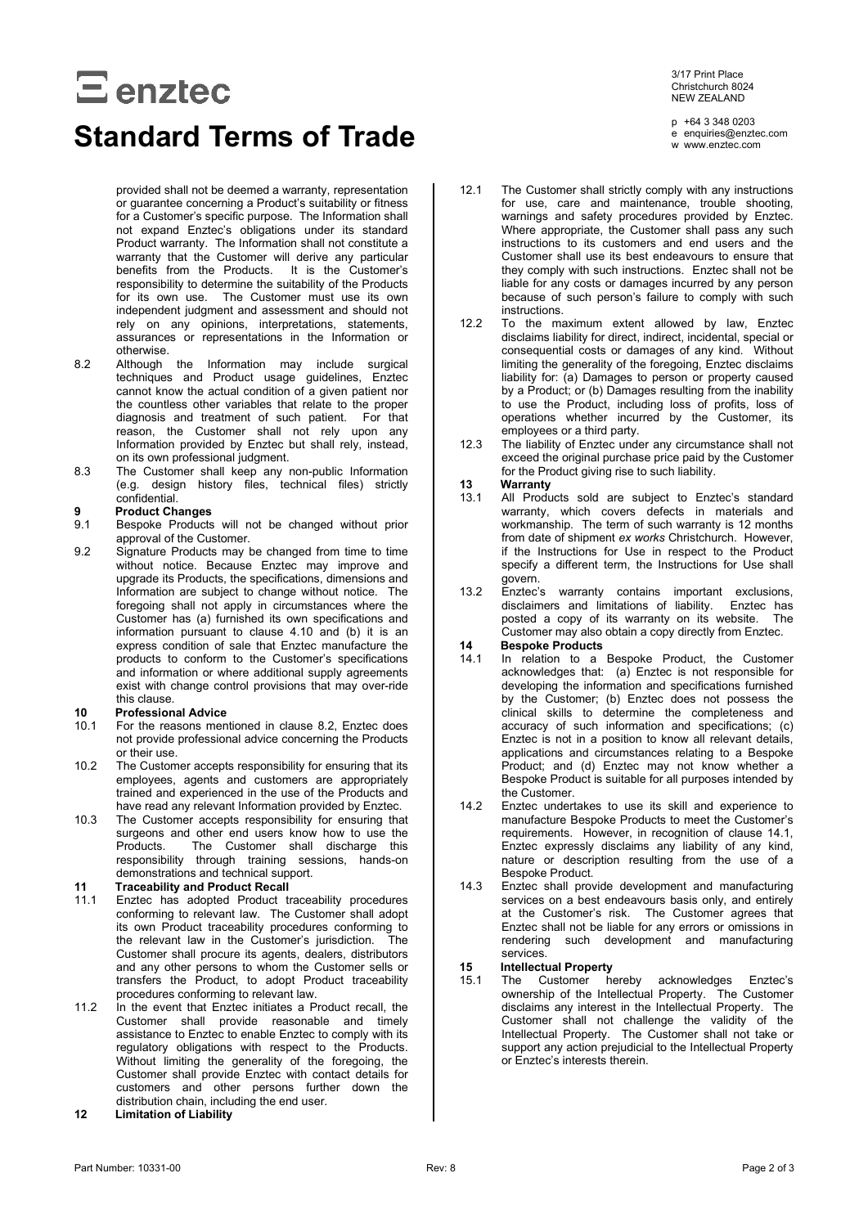# $\Xi$  enztec

# **Standard Terms of Trade**

provided shall not be deemed a warranty, representation or guarantee concerning a Product's suitability or fitness for a Customer's specific purpose. The Information shall not expand Enztec's obligations under its standard Product warranty. The Information shall not constitute a warranty that the Customer will derive any particular benefits from the Products. It is the Customer's responsibility to determine the suitability of the Products for its own use. The Customer must use its own independent judgment and assessment and should not rely on any opinions, interpretations, statements, assurances or representations in the Information or otherwise.

- <span id="page-1-0"></span>8.2 Although the Information may include surgical techniques and Product usage guidelines, Enztec cannot know the actual condition of a given patient nor the countless other variables that relate to the proper diagnosis and treatment of such patient. For that reason, the Customer shall not rely upon any Information provided by Enztec but shall rely, instead, on its own professional judgment.
- 8.3 The Customer shall keep any non-public Information (e.g. design history files, technical files) strictly confidential.

# **9 Product Changes**

- Bespoke Products will not be changed without prior approval of the Customer.
- 9.2 Signature Products may be changed from time to time without notice. Because Enztec may improve and upgrade its Products, the specifications, dimensions and Information are subject to change without notice. The foregoing shall not apply in circumstances where the Customer has (a) furnished its own specifications and information pursuant to clause [4.10](#page-0-0) and (b) it is an express condition of sale that Enztec manufacture the products to conform to the Customer's specifications and information or where additional supply agreements exist with change control provisions that may over-ride this clause.

# **10 Professional Advice**

- For the reasons mentioned in clause [8.2,](#page-1-0) Enztec does not provide professional advice concerning the Products or their use.
- 10.2 The Customer accepts responsibility for ensuring that its employees, agents and customers are appropriately trained and experienced in the use of the Products and have read any relevant Information provided by Enztec.
- 10.3 The Customer accepts responsibility for ensuring that surgeons and other end users know how to use the<br>Products. The Customer shall discharge this The Customer shall discharge this responsibility through training sessions, hands-on demonstrations and technical support.

# **11 Traceability and Product Recall**<br>11.1 Enztec has adopted Product tr

- Enztec has adopted Product traceability procedures conforming to relevant law. The Customer shall adopt its own Product traceability procedures conforming to the relevant law in the Customer's jurisdiction. The Customer shall procure its agents, dealers, distributors and any other persons to whom the Customer sells or transfers the Product, to adopt Product traceability procedures conforming to relevant law.
- 11.2 In the event that Enztec initiates a Product recall, the Customer shall provide reasonable and timely assistance to Enztec to enable Enztec to comply with its regulatory obligations with respect to the Products. Without limiting the generality of the foregoing, the Customer shall provide Enztec with contact details for customers and other persons further down the distribution chain, including the end user.
- **12 Limitation of Liability**

3/17 Print Place Christchurch 8024 NEW ZEALAND

p +64 3 348 0203 e enquiries@enztec.com w www.enztec.com

- 12.1 The Customer shall strictly comply with any instructions for use, care and maintenance, trouble shooting, warnings and safety procedures provided by Enztec. Where appropriate, the Customer shall pass any such instructions to its customers and end users and the Customer shall use its best endeavours to ensure that they comply with such instructions. Enztec shall not be liable for any costs or damages incurred by any person because of such person's failure to comply with such instructions.
- 12.2 To the maximum extent allowed by law, Enztec disclaims liability for direct, indirect, incidental, special or consequential costs or damages of any kind. Without limiting the generality of the foregoing, Enztec disclaims liability for: (a) Damages to person or property caused by a Product; or (b) Damages resulting from the inability to use the Product, including loss of profits, loss of operations whether incurred by the Customer, its employees or a third party.
- 12.3 The liability of Enztec under any circumstance shall not exceed the original purchase price paid by the Customer for the Product giving rise to such liability.

# **13 Warranty**

- All Products sold are subject to Enztec's standard warranty, which covers defects in materials and workmanship. The term of such warranty is 12 months from date of shipment *ex works* Christchurch. However, if the Instructions for Use in respect to the Product specify a different term, the Instructions for Use shall govern.
- 13.2 Enztec's warranty contains important exclusions, disclaimers and limitations of liability. Enztec has posted a copy of its warranty on its website. The Customer may also obtain a copy directly from Enztec.

## **14 Bespoke Products**

- <span id="page-1-1"></span>In relation to a Bespoke Product, the Customer acknowledges that: (a) Enztec is not responsible for developing the information and specifications furnished by the Customer; (b) Enztec does not possess the clinical skills to determine the completeness and accuracy of such information and specifications; (c) Enztec is not in a position to know all relevant details, applications and circumstances relating to a Bespoke Product; and (d) Enztec may not know whether a Bespoke Product is suitable for all purposes intended by the Customer.
- 14.2 Enztec undertakes to use its skill and experience to manufacture Bespoke Products to meet the Customer's requirements. However, in recognition of clause [14.1,](#page-1-1) Enztec expressly disclaims any liability of any kind, nature or description resulting from the use of a Bespoke Product.
- 14.3 Enztec shall provide development and manufacturing services on a best endeavours basis only, and entirely at the Customer's risk. The Customer agrees that Enztec shall not be liable for any errors or omissions in rendering such development and manufacturing services.

# **15 Intellectual Property**

Customer hereby acknowledges Enztec's ownership of the Intellectual Property. The Customer disclaims any interest in the Intellectual Property. The Customer shall not challenge the validity of the Intellectual Property. The Customer shall not take or support any action prejudicial to the Intellectual Property or Enztec's interests therein.